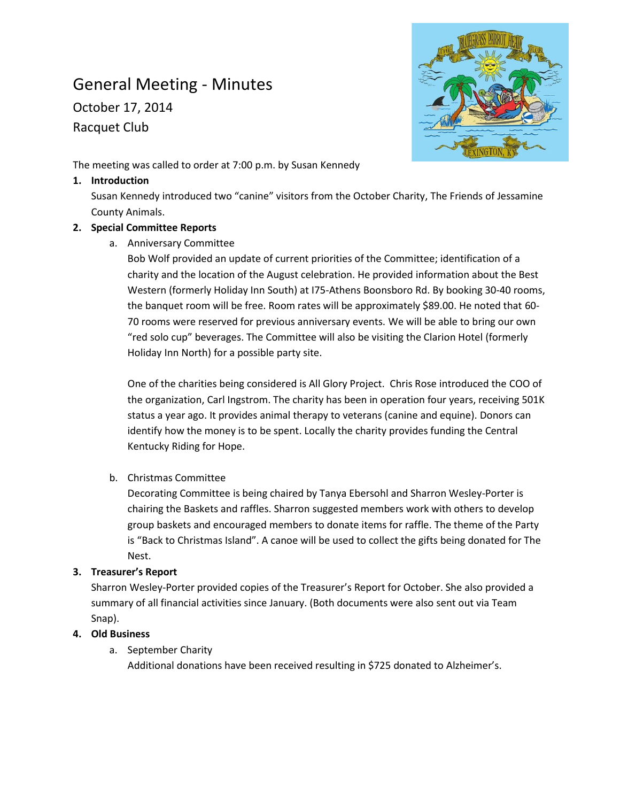# General Meeting - Minutes

October 17, 2014 Racquet Club



The meeting was called to order at 7:00 p.m. by Susan Kennedy

#### **1. Introduction**

Susan Kennedy introduced two "canine" visitors from the October Charity, The Friends of Jessamine County Animals.

## **2. Special Committee Reports**

a. Anniversary Committee

Bob Wolf provided an update of current priorities of the Committee; identification of a charity and the location of the August celebration. He provided information about the Best Western (formerly Holiday Inn South) at I75-Athens Boonsboro Rd. By booking 30-40 rooms, the banquet room will be free. Room rates will be approximately \$89.00. He noted that 60- 70 rooms were reserved for previous anniversary events. We will be able to bring our own "red solo cup" beverages. The Committee will also be visiting the Clarion Hotel (formerly Holiday Inn North) for a possible party site.

One of the charities being considered is All Glory Project. Chris Rose introduced the COO of the organization, Carl Ingstrom. The charity has been in operation four years, receiving 501K status a year ago. It provides animal therapy to veterans (canine and equine). Donors can identify how the money is to be spent. Locally the charity provides funding the Central Kentucky Riding for Hope.

b. Christmas Committee

Decorating Committee is being chaired by Tanya Ebersohl and Sharron Wesley-Porter is chairing the Baskets and raffles. Sharron suggested members work with others to develop group baskets and encouraged members to donate items for raffle. The theme of the Party is "Back to Christmas Island". A canoe will be used to collect the gifts being donated for The Nest.

## **3. Treasurer's Report**

Sharron Wesley-Porter provided copies of the Treasurer's Report for October. She also provided a summary of all financial activities since January. (Both documents were also sent out via Team Snap).

## **4. Old Business**

a. September Charity

Additional donations have been received resulting in \$725 donated to Alzheimer's.